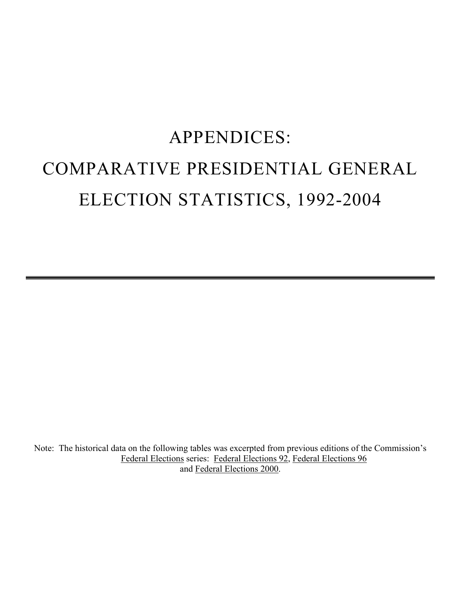## APPENDICES: COMPARATIVE PRESIDENTIAL GENERAL ELECTION STATISTICS, 1992-2004

Note: The historical data on the following tables was excerpted from previous editions of the Commission's Federal Elections series: Federal Elections 92, Federal Elections 96 and Federal Elections 2000.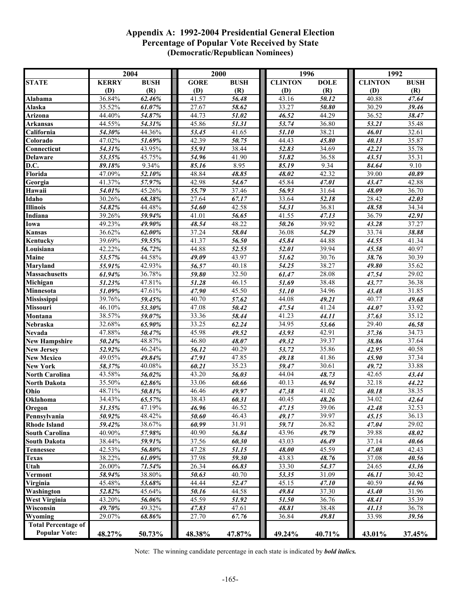## **Appendix A: 1992-2004 Presidential General Election Percentage of Popular Vote Received by State (Democratic/Republican Nominees)**

|                                       |                  | 2004             |                    | 2000           | 1996               |                | 1992           |                |  |  |
|---------------------------------------|------------------|------------------|--------------------|----------------|--------------------|----------------|----------------|----------------|--|--|
| <b>STATE</b>                          | <b>KERRY</b>     | <b>BUSH</b>      | GORE               | <b>BUSH</b>    | <b>CLINTON</b>     | <b>DOLE</b>    | <b>CLINTON</b> | <b>BUSH</b>    |  |  |
|                                       | (D)              | (R)              | (D)                | (R)            | (D)                | (R)            | (D)            | (R)            |  |  |
| Alabama                               | 36.84%           | 62.46%           | 41.57              | 56.48          | 43.16              | 50.12          | 40.88          | 47.64          |  |  |
| Alaska                                | 35.52%           | 61.07%           | 27.67              | 58.62          | 33.27              | 50.80          | 30.29          | 39.46          |  |  |
| Arizona                               | 44.40%           | 54.87%           | 44.73              | 51.02          | 46.52              | 44.29          | 36.52          | 38.47          |  |  |
| <b>Arkansas</b>                       | 44.55%           | 54.31%           | 45.86              | 51.31          | 53.74              | 36.80          | 53.21          | 35.48          |  |  |
| California                            | 54.30%           | 44.36%           | 53.45              | 41.65          | 51.10              | 38.21          | 46.01          | 32.61          |  |  |
| Colorado                              | 47.02%           | 51.69%           | 42.39              | 50.75          | 44.43              | 45.80          | 40.13          | 35.87          |  |  |
| Connecticut                           | 54.31%           | 43.95%           | 55.91              | 38.44          | 52.83              | 34.69          | 42.21          | 35.78          |  |  |
| <b>Delaware</b>                       | 53.35%           | 45.75%           | 54.96              | 41.90          | 51.82              | 36.58          | 43.51          | 35.31          |  |  |
| D.C.                                  | 89.18%           | 9.34%            | 85.16              | 8.95           | 85.19              | 9.34           | 84.64          | 9.10           |  |  |
| Florida                               | 47.09%           | 52.10%           | 48.84              | 48.85          | 48.02              | 42.32          | 39.00          | 40.89          |  |  |
| Georgia                               | 41.37%           | 57.97%           | 42.98              | 54.67          | 45.84              | 47.01          | 43.47          | 42.88          |  |  |
| Hawaii                                | 54.01%           | 45.26%           | 55.79              | 37.46          | 56.93              | 31.64          | 48.09          | 36.70          |  |  |
| Idaho                                 | 30.26%           | 68.38%           | 27.64              | 67.17          | 33.64              | 52.18          | 28.42          | 42.03          |  |  |
| <b>Illinois</b><br>Indiana            | 54.82%<br>39.26% | 44.48%<br>59.94% | 54.60<br>41.01     | 42.58          | 54.31<br>41.55     | 36.81          | 48.58<br>36.79 | 34.34          |  |  |
|                                       | 49.23%           | 49.90%           | 48.54              | 56.65<br>48.22 | 50.26              | 47.13<br>39.92 | 43.28          | 42.91<br>37.27 |  |  |
| Iowa                                  | 36.62%           | 62.00%           | 37.24              | 58.04          | 36.08              | 54.29          | 33.74          | 38.88          |  |  |
| Kansas                                | 39.69%           |                  | 41.37              |                | 45.84              | 44.88          | 44.55          | 41.34          |  |  |
| Kentucky<br>Louisiana                 | 42.22%           | 59.55%<br>56.72% | 44.88              | 56.50<br>52.55 | 52.01              | 39.94          | 45.58          | 40.97          |  |  |
| <b>Maine</b>                          | 53.57%           | 44.58%           | 49.09              | 43.97          | 51.62              | 30.76          | 38.76          | 30.39          |  |  |
| <b>Maryland</b>                       | 55.91%           | 42.93%           | 56.57              | 40.18          | 54.25              | 38.27          | 49.80          | 35.62          |  |  |
| <b>Massachusetts</b>                  | 61.94%           | 36.78%           | 59.80              | 32.50          | 61.47              | 28.08          | 47.54          | 29.02          |  |  |
| Michigan                              | 51.23%           | 47.81%           | 51.28              | 46.15          | 51.69              | 38.48          | 43.77          | 36.38          |  |  |
| Minnesota                             | 51.09%           | 47.61%           | 47.90              | 45.50          | 51.10              | 34.96          | 43.48          | 31.85          |  |  |
| Mississippi                           | 39.76%           | 59.45%           | 40.70              | 57.62          | 44.08              | 49.21          | 40.77          | 49.68          |  |  |
| Missouri                              | 46.10%           | 53.30%           | $\overline{47.08}$ | 50.42          | 47.54              | 41.24          | 44.07          | 33.92          |  |  |
| Montana                               | 38.57%           | 59.07%           | 33.36              | 58.44          | 41.23              | 44.11          | 37.63          | 35.12          |  |  |
| Nebraska                              | 32.68%           | 65.90%           | 33.25              | 62.24          | 34.95              | 53.66          | 29.40          | 46.58          |  |  |
| Nevada                                | 47.88%           | 50.47%           | 45.98              | 49.52          | 43.93              | 42.91          | 37.36          | 34.73          |  |  |
| <b>New Hampshire</b>                  | 50.24%           | 48.87%           | 46.80              | 48.07          | 49.32              | 39.37          | 38.86          | 37.64          |  |  |
| <b>New Jersey</b>                     | 52.92%           | 46.24%           | $\frac{1}{56.12}$  | 40.29          | 53.72              | 35.86          | 42.95          | 40.58          |  |  |
| <b>New Mexico</b>                     | 49.05%           | 49.84%           | 47.91              | 47.85          | 49.18              | 41.86          | 45.90          | 37.34          |  |  |
| <b>New York</b>                       | 58.37%           | 40.08%           | 60.21              | 35.23          | 59.47              | 30.61          | 49.72          | 33.88          |  |  |
| <b>North Carolina</b>                 | 43.58%           | 56.02%           | 43.20              | 56.03          | 44.04              | 48.73          | 42.65          | 43.44          |  |  |
| North Dakota                          | 35.50%           | 62.86%           | 33.06              | 60.66          | 40.13              | 46.94          | 32.18          | 44.22          |  |  |
| Ohio                                  | 48.71%           | 50.81%           | 46.46              | 49.97          | 47.38              | 41.02          | 40.18          | 38.35          |  |  |
| Oklahoma                              | 34.43%           | 65.57%           | 38.43              | 60.31          | $\overline{40.45}$ | 48.26          | 34.02          | 42.64          |  |  |
| Oregon                                | 51.35%           | 47.19%           | 46.96              | 46.52          | 47.15              | 39.06          | 42.48          | 32.53          |  |  |
| Pennsylvania                          | 50.92%           | 48.42%           | 50.60              | 46.43          | 49.17              | 39.97          | 45.15          | 36.13          |  |  |
| <b>Rhode Island</b>                   | 59.42%           | 38.67%           | 60.99              | 31.91          | 59.71              | 26.82          | 47.04          | 29.02          |  |  |
| <b>South Carolina</b>                 | 40.90%           | 57.98%           | 40.90              | 56.84          | 43.96              | 49.79          | 39.88          | 48.02          |  |  |
| <b>South Dakota</b>                   | 38.44%           | 59.91%           | 37.56              | 60.30          | 43.03              | 46.49          | 37.14          | 40.66          |  |  |
| <b>Tennessee</b>                      | 42.53%           | 56.80%           | 47.28              | 51.15          | 48.00              | 45.59          | 47.08          | 42.43          |  |  |
| <b>Texas</b>                          | 38.22%           | 61.09%           | 37.98              | 59.30          | 43.83              | 48.76          | 37.08          | 40.56          |  |  |
| Utah                                  | 26.00%           | 71.54%           | 26.34              | 66.83          | 33.30              | 54.37          | 24.65          | 43.36          |  |  |
| Vermont                               | 58.94%           | 38.80%           | 50.63              | 40.70          | 53.35              | 31.09          | 46.11          | 30.42          |  |  |
| Virginia                              | 45.48%           | 53.68%           | 44.44              | 52.47          | 45.15              | 47.10          | 40.59          | 44.96          |  |  |
| Washington                            | 52.82%           | 45.64%           | 50.16              | 44.58          | 49.84              | 37.30          | 43.40          | 31.96          |  |  |
| <b>West Virginia</b>                  | 43.20%           | 56.06%           | 45.59              | 51.92          | 51.50              | 36.76          | 48.41          | 35.39          |  |  |
| Wisconsin                             | 49.70%           | 49.32%           | 47.83<br>27.70     | 47.61          | 48.81              | 38.48          | 41.13          | 36.78          |  |  |
| Wyoming<br><b>Total Percentage of</b> | 29.07%           | 68.86%           |                    | 67.76          | 36.84              | 49.81          | 33.98          | 39.56          |  |  |
| <b>Popular Vote:</b>                  | 48.27%           | 50.73%           | 48.38%             | 47.87%         | 49.24%             | 40.71%         | 43.01%         | 37.45%         |  |  |
|                                       |                  |                  |                    |                |                    |                |                |                |  |  |

Note:The winning candidate percentage in each state is indicated by *bold italics.*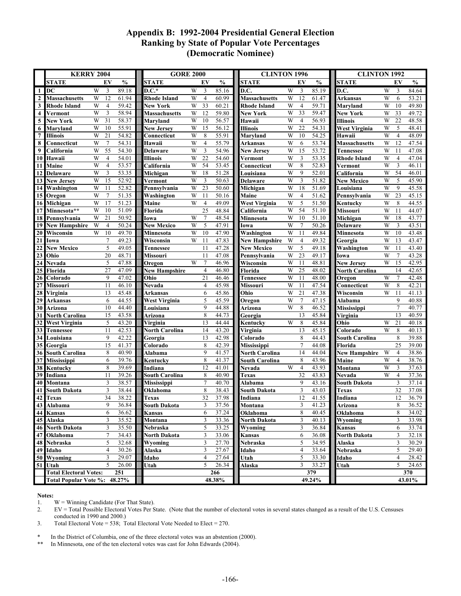## **Appendix B: 1992-2004 Presidential General Election Ranking by State of Popular Vote Percentages (Democratic Nominee)**

|                                        | <b>KERRY 2004</b>                    |                      |                |                              | <b>GORE 2000</b>                           |                | <b>CLINTON 1996</b>      |                                   |                   | <b>CLINTON 1992</b>                 |                                |                |  |
|----------------------------------------|--------------------------------------|----------------------|----------------|------------------------------|--------------------------------------------|----------------|--------------------------|-----------------------------------|-------------------|-------------------------------------|--------------------------------|----------------|--|
|                                        | <b>STATE</b>                         | EV                   | $\frac{0}{0}$  | <b>STATE</b>                 | EV                                         | $\frac{0}{0}$  | <b>STATE</b>             | EV                                | $\frac{0}{0}$     | <b>STATE</b>                        | EV                             | $\frac{0}{0}$  |  |
| $1\vert$                               | DC                                   | W<br>3               | 89.18          | $D.C.*$                      | W<br>3                                     | 85.16          | D.C.                     | W<br>3                            | 85.19             | D.C.                                | W<br>3                         | 84.64          |  |
| $\mathbf{2}$                           | <b>Massachusetts</b>                 | 12<br>W              | 61.94          | <b>Rhode Island</b>          | W<br>$\overline{4}$                        | 60.99          | <b>Massachusetts</b>     | W<br>12                           | 61.47             | Arkansas                            | W<br>6                         | 53.21          |  |
| $\mathbf{3}$                           | <b>Rhode Island</b>                  | W<br>$\overline{4}$  | 59.42          | <b>New York</b>              | 33<br>W                                    | 60.21          | Rhode Island             | W<br>$\overline{4}$               | 59.71             | Maryland                            | W<br>10                        | 49.80          |  |
| $\overline{\mathbf{4}}$                | Vermont                              | W<br>3               | 58.94          | <b>Massachusetts</b>         | W<br>12                                    | 59.80          | <b>New York</b>          | 33<br>W                           | 59.47             | <b>New York</b>                     | W<br>33                        | 49.72          |  |
| 5                                      | <b>New York</b>                      | W<br>31              | 58.37          | Maryland                     | W<br>10                                    | 56.57          | Hawaii                   | W<br>$\overline{4}$               | 56.93             | <b>Illinois</b>                     | W<br>22                        | 48.58          |  |
| 6                                      | Maryland                             | W<br>10              | 55.91          | <b>New Jersey</b>            | 15<br>W                                    | 56.12          | <b>Illinois</b>          | W<br>22                           | 54.31             | <b>West Virginia</b>                | W<br>5                         | 48.41          |  |
| $\overline{7}$                         | <b>Illinois</b>                      | W<br>21              | 54.82          | Connecticut                  | W<br>8                                     | 55.91          | Maryland                 | W<br>10                           | 54.25             | Hawaii                              | $\overline{4}$<br>W            | 48.09          |  |
| 8                                      | Connecticut                          | $\tau$<br>W          | 54.31          | Hawaii                       | W<br>$\overline{4}$                        | 55.79          | Arkansas                 | W<br>6                            | 53.74             | Massachusetts                       | W<br>12                        | 47.54          |  |
| 9                                      | California                           | $\overline{55}$<br>W | 54.30          | <b>Delaware</b>              | $\mathbf{3}$<br>W                          | 54.96          | <b>New Jersey</b>        | W<br>15                           | 53.72             | Tennessee                           | W<br>11                        | 47.08          |  |
| 10                                     | Hawaii                               | W<br>$\overline{4}$  | 54.01          | <b>Illinois</b>              | W<br>22                                    | 54.60          | Vermont                  | W<br>3                            | 53.35             | <b>Rhode Island</b>                 | W<br>$\overline{4}$            | 47.04          |  |
| 11                                     | Maine                                | W<br>$\overline{4}$  | 53.57          | California                   | 54<br>W                                    | 53.45          | Connecticut              | W<br>8                            | 52.83             | Vermont                             | W<br>$\overline{3}$            | 46.11          |  |
| 12                                     | <b>Delaware</b>                      | $\mathfrak z$<br>W   | 53.35          | Michigan                     | 18<br>W                                    | 51.28          | Louisiana                | W<br>9                            | 52.01             | California                          | W<br>54                        | 46.01          |  |
| 13                                     | <b>New Jersey</b>                    | W<br>$\overline{15}$ | 52.92          | Vermont                      | W<br>3                                     | 50.63          | <b>Delaware</b>          | 3<br>W                            | 51.82             | <b>New Mexico</b>                   | W<br>5                         | 45.90          |  |
| 14                                     | Washington                           | W<br>11              | 52.82          | Pennsylvania                 | 23<br>W                                    | 50.60          | Michigan                 | W<br>18                           | 51.69             | Louisiana                           | W<br>9                         | 45.58          |  |
|                                        | 15 Oregon                            | $\tau$<br>W          | 51.35          | Washington                   | W<br>11                                    | 50.16          | Maine                    | W<br>$\overline{4}$               | $\frac{1}{51.62}$ | Pennsylvania                        | W<br>23                        | 45.15          |  |
|                                        | 16 Michigan                          | W<br>17              | 51.23          | Maine                        | W<br>$\overline{4}$                        | 49.09          | <b>West Virginia</b>     | 5<br>W                            | 51.50             | Kentucky                            | W<br>8                         | 44.55          |  |
| 17                                     | Minnesota**                          | W<br>10              | 51.09          | Florida                      | 25                                         | 48.84          | California               | W<br>54                           | 51.10             | Missouri                            | W<br>11                        | 44.07          |  |
| 18                                     | Pennsylvania                         | 21<br>W              | 50.92          | Iowa                         | W<br>$\overline{7}$                        | 48.54          | Minnesota                | W<br>10                           | 51.10             | Michigan                            | W<br>18                        | 43.77          |  |
| 19                                     | <b>New Hampshire</b>                 | W<br>$\overline{4}$  | 50.24          | <b>New Mexico</b>            | W<br>5                                     | 47.91          | Iowa                     | W<br>$\overline{7}$               | 50.26             | <b>Delaware</b>                     | W<br>3                         | 43.51          |  |
| 20                                     | Wisconsin                            | 10<br>W              | 49.70          | Minnesota                    | 10<br>W                                    | 47.90          | Washington               | $\ensuremath{\text{W}}$<br>11     | 49.84             | Minnesota                           | W<br>10                        | 43.48          |  |
| 21                                     | Iowa                                 | $\overline{7}$       | 49.23          | Wisconsin                    | 11<br>W                                    | 47.83          | <b>New Hampshire</b>     | W<br>$\overline{4}$               | 49.32             | Georgia                             | W<br>13                        | 43.47          |  |
| 22                                     | <b>New Mexico</b>                    | 5<br>20              | 49.05          | <b>Tennessee</b>             | 11<br>11                                   | 47.28<br>47.08 | <b>New Mexico</b>        | 5<br>W<br>W<br>$\overline{23}$    | 49.18<br>49.17    | Washington                          | W<br>11<br>W<br>$\overline{7}$ | 43.40<br>43.28 |  |
| $\overline{23}$                        | Ohio                                 |                      | 48.71<br>47.88 | <b>Missouri</b>              | W<br>$\overline{7}$                        |                | Pennsylvania             | W<br>11                           |                   | Iowa                                | W                              |                |  |
| $\overline{24}$                        | Nevada<br>Florida                    | 5<br>27              | 47.09          | Oregon                       | $\overline{4}$                             | 46.96<br>46.80 | Wisconsin                | W<br>25                           | 48.81<br>48.02    | <b>New Jersey</b><br>North Carolina | 15<br>14                       | 42.95<br>42.65 |  |
| 25<br>26                               | Colorado                             | 9                    | 47.02          | <b>New Hampshire</b><br>Ohio | 21                                         | 46.46          | Florida<br>Tennessee     | W<br>11                           | 48.00             | Oregon                              | W<br>$\tau$                    | 42.48          |  |
| 27                                     | <b>Missouri</b>                      | 11                   | 46.10          | <b>Nevada</b>                | $\overline{4}$                             | 45.98          | Missouri                 | W<br>11                           | 47.54             | Connecticut                         | $\,$ 8 $\,$<br>W               | 42.21          |  |
| ${\bf 28}$                             | Virginia                             | 13                   | 45.48          | Arkansas                     | 6                                          | 45.86          | Ohio                     | W<br>21                           | 47.38             | Wisconsin                           | W<br>11                        | 41.13          |  |
| $\overline{29}$                        | <b>Arkansas</b>                      | 6                    | 44.55          | <b>West Virginia</b>         | 5                                          | 45.59          | Oregon                   | W<br>$\overline{7}$               | 47.15             | Alabama                             | 9                              | 40.88          |  |
| 30                                     | Arizona                              | 10                   | 44.40          | Louisiana                    | 9                                          | 44.88          | Arizona                  | W<br>8                            | 46.52             | Mississippi                         | $\overline{7}$                 | 40.77          |  |
| 31                                     | <b>North Carolina</b>                | 15                   | 43.58          | Arizona                      | 8                                          | 44.73          | Georgia                  | 13                                | 45.84             | Virginia                            | 13                             | 40.59          |  |
| $\overline{32}$                        | <b>West Virginia</b>                 | 5                    | 43.20          | Virginia                     | 13                                         | 44.44          | Kentucky                 | 8<br>W                            | 45.84             | Ohio                                | W<br>21                        | 40.18          |  |
| 33                                     | <b>Tennessee</b>                     | 11                   | 42.53          | <b>North Carolina</b>        | 14                                         | 43.20          | Virginia                 | 13                                | 45.15             | Colorado                            | W<br>8                         | 40.13          |  |
| 34                                     | Louisiana                            | 9                    | 42.22          | Georgia                      | 13                                         | 42.98          | Colorado                 | 8                                 | 44.43             | <b>South Carolina</b>               | 8                              | 39.88          |  |
| $\overline{35}$                        | Georgia                              | 15                   | 41.37          | Colorado                     | 8                                          | 42.39          | <b>Mississippi</b>       | $\overline{7}$                    | 44.08             | Florida                             | 25                             | 39.00          |  |
|                                        | 36 South Carolina                    | 8                    | 40.90          | <b>Alabama</b>               | 9                                          | 41.57          | North Carolina           | 14                                | 44.04             | <b>New Hampshire</b>                | W<br>$\overline{4}$            | 38.86          |  |
| 37                                     | <b>Mississippi</b>                   | 6                    | 39.76          | Kentucky                     | 8                                          | 41.37          | <b>South Carolina</b>    | 8                                 | 43.96             | Maine                               | $\overline{4}$<br>W            | 38.76          |  |
| 38                                     | Kentucky                             | 8                    | 39.69          | Indiana                      | 12                                         | 41.01          | Nevada                   | W<br>$\overline{4}$               | 43.93             | Montana                             | $\overline{W}$<br>3            | 37.63          |  |
| 39                                     | Indiana                              | 11                   | 39.26          | <b>South Carolina</b>        | 8                                          | 40.90          | <b>Texas</b>             | 32                                | 43.83             | Nevada                              | $\overline{4}$<br>W            | 37.36          |  |
| 40                                     | Montana                              | 3                    | 38.57          | Mississippi                  | $\overline{7}$                             | 40.70          | Alabama                  | 9                                 | 43.16             | South Dakota                        | $\overline{3}$                 | 37.14          |  |
| 41                                     | <b>South Dakota</b>                  | 3                    | 38.44          | Oklahoma                     | 8                                          | 38.43          | South Dakota             | 3                                 | 43.03             | Texas                               | 32                             | 37.08          |  |
| 42                                     | <b>Texas</b>                         | 34<br>$\overline{9}$ | 38.22          | <b>Texas</b>                 | $\overline{32}$<br>$\overline{\mathbf{3}}$ | 37.98          | Indiana                  | $\overline{12}$<br>$\overline{3}$ | 41.55             | Indiana                             | 12                             | 36.79          |  |
|                                        | 43 Alabama<br>44 Kansas              |                      |                | 36.84 South Dakota           |                                            | 37.56          | Montana                  |                                   | 41.23             | Arizona                             | $\,$ 8 $\,$                    | 36.52          |  |
|                                        | 45 Alaska                            | 6<br>3               | 36.62<br>35.52 | Kansas<br>Montana            | 6<br>3                                     | 37.24<br>33.36 | Oklahoma<br>North Dakota | 8<br>3                            | 40.45<br>40.13    | Oklahoma<br>Wyoming                 | 8<br>3                         | 34.02<br>33.98 |  |
|                                        | <b>46 North Dakota</b>               | 3                    | 35.50          | Nebraska                     | 5                                          | 33.25          | Wyoming                  | 3                                 | 36.84             | Kansas                              | 6                              | 33.74          |  |
|                                        | 47 Oklahoma                          | 7                    | 34.43          | North Dakota                 | 3                                          | 33.06          | Kansas                   | 6                                 | 36.08             | North Dakota                        | 3                              | 32.18          |  |
|                                        | 48 Nebraska                          | 5                    | 32.68          | Wyoming                      | 3                                          | 27.70          | Nebraska                 | 5                                 | 34.95             | Alaska                              | 3                              | 30.29          |  |
|                                        | 49 Idaho                             | $\overline{4}$       | 30.26          | Alaska                       | 3                                          | 27.67          | Idaho                    | $\overline{4}$                    | 33.64             | Nebraska                            | 5                              | 29.40          |  |
|                                        | 50 Wyoming                           | $\mathfrak{Z}$       | 29.07          | Idaho                        | $\overline{4}$                             | 27.64          | Utah                     | 5                                 | 33.30             | Idaho                               | $\overline{4}$                 | 28.42          |  |
|                                        | 51 Utah                              | 5                    | 26.00          | Utah                         | 5                                          | 26.34          | <b>Alaska</b>            | 3                                 | 33.27             | Utah                                | 5                              | 24.65          |  |
|                                        | <b>Total Electoral Votes:</b><br>251 |                      |                |                              |                                            | 266            |                          |                                   | 379               |                                     |                                | 370            |  |
| <b>Total Popular Vote %:</b><br>48.27% |                                      |                      |                |                              |                                            | 48.38%         |                          |                                   | 49.24%            |                                     |                                | 43.01%         |  |

**Notes:** 

1. W = Winning Candidate (For That State).<br>2. EV = Total Possible Electoral Votes Per S 2. EV = Total Possible Electoral Votes Per State. (Note that the number of electoral votes in several states changed as a result of the U.S. Censuses conducted in 1990 and 2000.)

3. Total Electoral Vote = 538; Total Electoral Vote Needed to Elect = 270.

\* In the District of Columbia, one of the three electoral votes was an abstention (2000).

\*\* In Minnesota, one of the ten electoral votes was cast for John Edwards (2004).